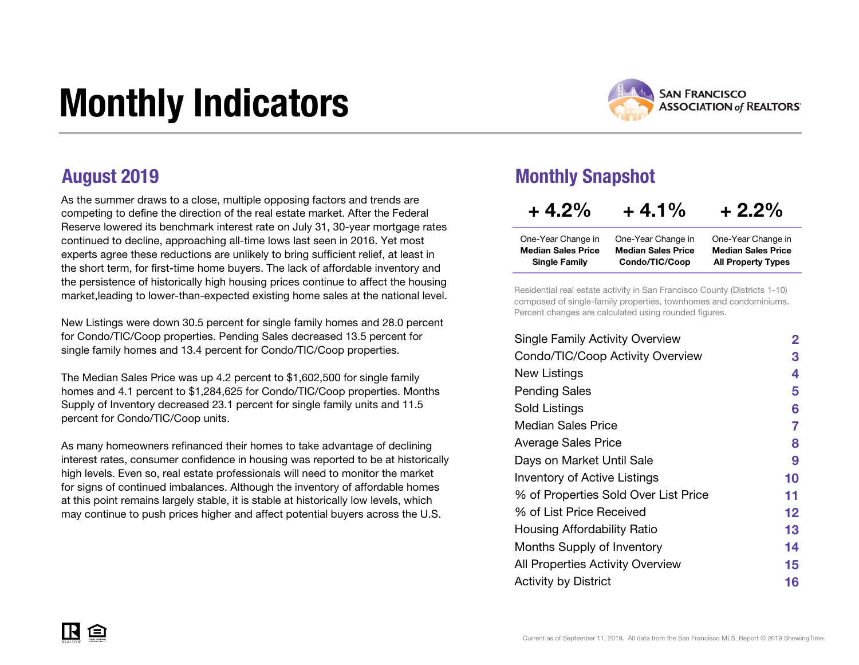# Monthly Indicators



As the summer draws to a close, multiple opposing factors and trends are competing to define the direction of the real estate market. After the Federal Reserve lowered its benchmark interest rate on July 31, 30-year mortgage rates continued to decline, approaching all-time lows last seen in 2016. Yet most experts agree these reductions are unlikely to bring sufficient relief, at least in the short term, for first-time home buyers. The lack of affordable inventory and the persistence of historically high housing prices continue to affect the housing market,leading to lower-than-expected existing home sales at the national level.

New Listings were down 30.5 percent for single family homes and 28.0 percent for Condo/TIC/Coop properties. Pending Sales decreased 13.5 percent for single family homes and 13.4 percent for Condo/TIC/Coop properties.

The Median Sales Price was up 4.2 percent to \$1,602,500 for single family homes and 4.1 percent to \$1,284,625 for Condo/TIC/Coop properties. Months Supply of Inventory decreased 23.1 percent for single family units and 11.5 percent for Condo/TIC/Coop units.

As many homeowners refinanced their homes to take advantage of declining interest rates, consumer confidence in housing was reported to be at historically high levels. Even so, real estate professionals will need to monitor the market for signs of continued imbalances. Although the inventory of affordable homes at this point remains largely stable, it is stable at historically low levels, which may continue to push prices higher and affect potential buyers across the U.S.

#### August 2019 Monthly Snapshot

| $+4.2%$                   | $+4.1%$                   | $+2.2\%$                  |
|---------------------------|---------------------------|---------------------------|
| One-Year Change in        | One-Year Change in        | One-Year Change in        |
| <b>Median Sales Price</b> | <b>Median Sales Price</b> | <b>Median Sales Price</b> |
| <b>Single Family</b>      | Condo/TIC/Coop            | <b>All Property Types</b> |

Residential real estate activity in San Francisco County (Districts 1-10) composed of single-family properties, townhomes and condominiums. Percent changes are calculated using rounded figures.

| $\mathbf{2}$ |
|--------------|
| 3            |
| 4            |
| 5            |
| 6            |
| 7            |
| 8            |
| 9            |
| 10           |
| 11           |
| 12           |
| 13           |
| 14           |
| 15           |
| 16           |
|              |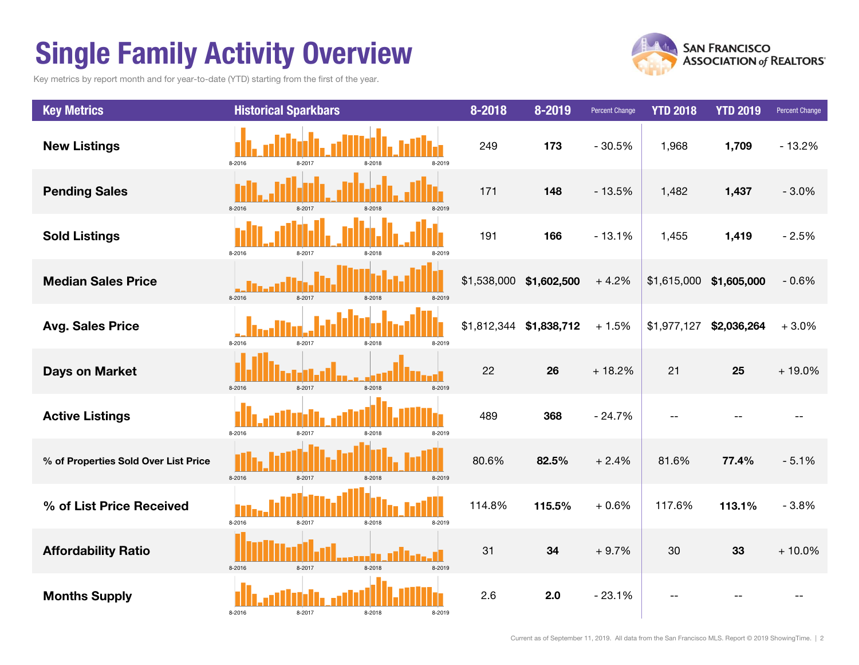## Single Family Activity Overview

Key metrics by report month and for year-to-date (YTD) starting from the first of the year.



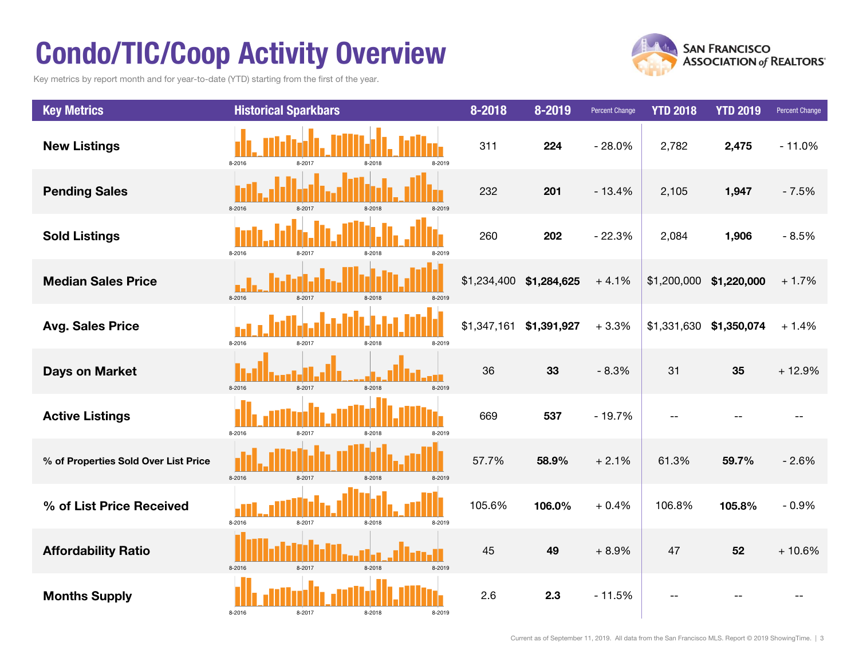## Condo/TIC/Coop Activity Overview

Key metrics by report month and for year-to-date (YTD) starting from the first of the year.



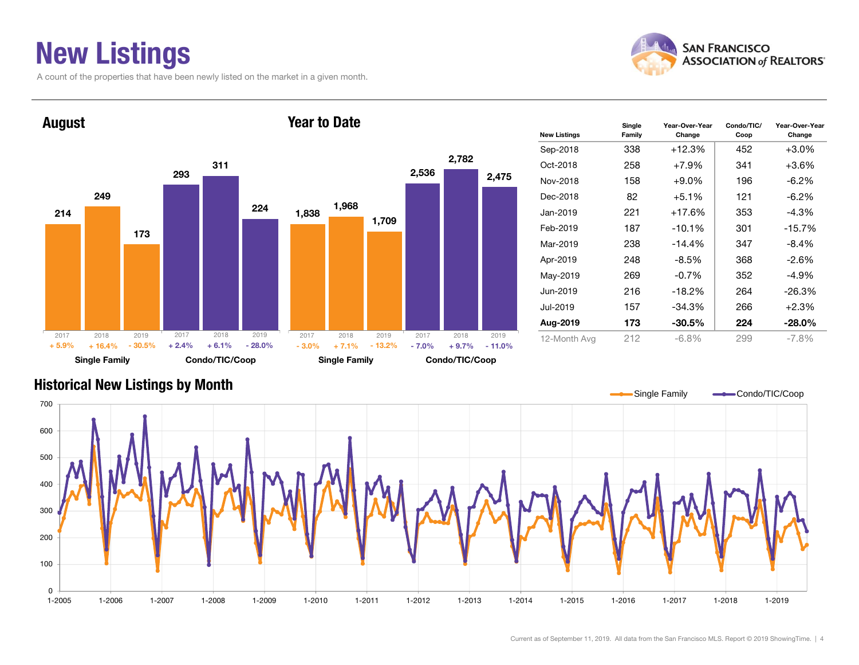### New Listings

A count of the properties that have been newly listed on the market in a given month.





| <b>New Listings</b> | Single<br>Family | Year-Over-Year<br>Change | Condo/TIC/<br>Coop | Year-Over-Year<br>Change |
|---------------------|------------------|--------------------------|--------------------|--------------------------|
| Sep-2018            | 338              | $+12.3%$                 | 452                | $+3.0\%$                 |
| Oct-2018            | 258              | $+7.9%$                  | 341                | $+3.6%$                  |
| Nov-2018            | 158              | $+9.0\%$                 | 196                | $-6.2\%$                 |
| Dec-2018            | 82               | $+5.1\%$                 | 121                | $-6.2\%$                 |
| Jan-2019            | 221              | +17.6%                   | 353                | $-4.3%$                  |
| Feb-2019            | 187              | $-10.1%$                 | 301                | $-15.7%$                 |
| Mar-2019            | 238              | $-14.4%$                 | 347                | $-8.4%$                  |
| Apr-2019            | 248              | $-8.5\%$                 | 368                | $-2.6%$                  |
| May-2019            | 269              | $-0.7%$                  | 352                | $-4.9%$                  |
| Jun-2019            | 216              | $-18.2%$                 | 264                | $-26.3%$                 |
| Jul-2019            | 157              | $-34.3%$                 | 266                | $+2.3%$                  |
| Aug-2019            | 173              | $-30.5\%$                | 224                | $-28.0\%$                |
| 12-Month Avg        | 212              | $-6.8\%$                 | 299                | $-7.8%$                  |

#### Historical New Listings by Month

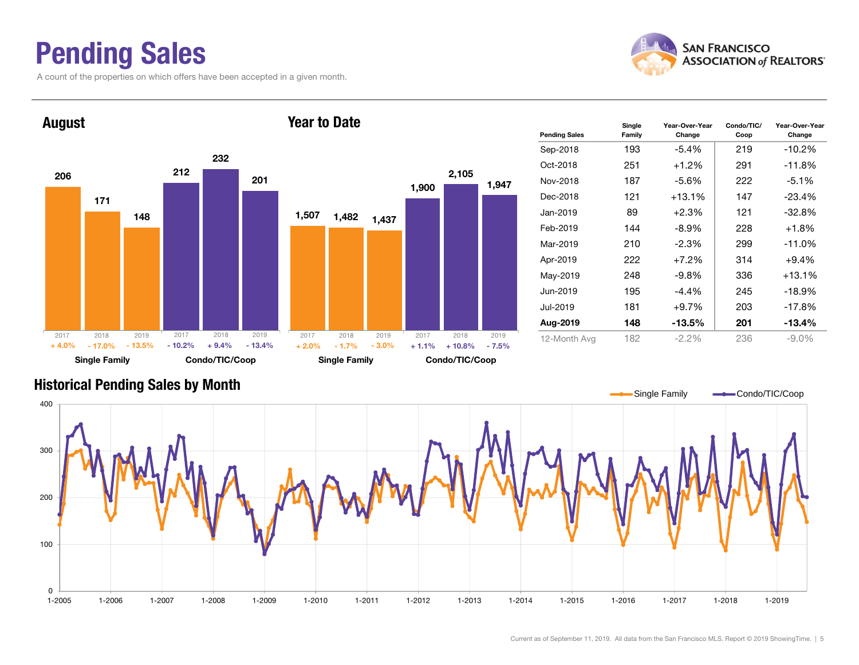### Pending Sales

A count of the properties on which offers have been accepted in a given month.





#### Historical Pending Sales by Month

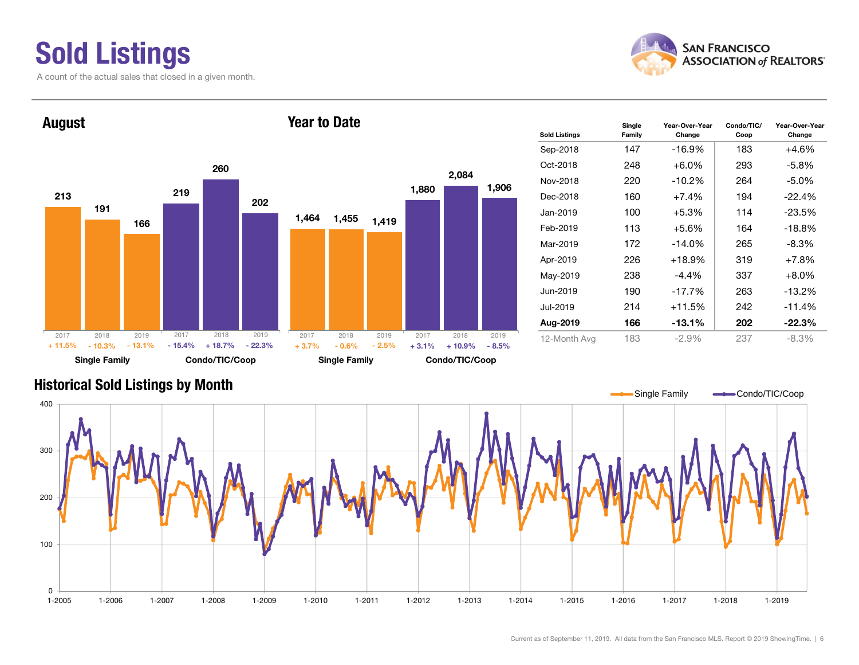## Sold Listings

A count of the actual sales that closed in a given month.





| <b>Sold Listings</b> | Single<br>Family | Year-Over-Year<br>Change | Condo/TIC/<br>Coop | Year-Over-Year<br>Change |
|----------------------|------------------|--------------------------|--------------------|--------------------------|
| Sep-2018             | 147              | -16.9%                   | 183                | $+4.6%$                  |
| Oct-2018             | 248              | $+6.0\%$                 | 293                | -5.8%                    |
| Nov-2018             | 220              | -10.2%                   | 264                | -5.0%                    |
| Dec-2018             | 160              | $+7.4%$                  | 194                | $-22.4%$                 |
| Jan-2019             | 100              | $+5.3%$                  | 114                | $-23.5%$                 |
| Feb-2019             | 113              | $+5.6\%$                 | 164                | $-18.8%$                 |
| Mar-2019             | 172              | $-14.0\%$                | 265                | -8.3%                    |
| Apr-2019             | 226              | $+18.9%$                 | 319                | $+7.8%$                  |
| May-2019             | 238              | -4.4%                    | 337                | $+8.0\%$                 |
| Jun-2019             | 190              | $-17.7%$                 | 263                | $-13.2\%$                |
| Jul-2019             | 214              | +11.5%                   | 242                | $-11.4%$                 |
| Aug-2019             | 166              | -13.1%                   | 202                | $-22.3%$                 |
| 12-Month Avg         | 183              | $-2.9%$                  | 237                | $-8.3\%$                 |

#### Historical Sold Listings by Month

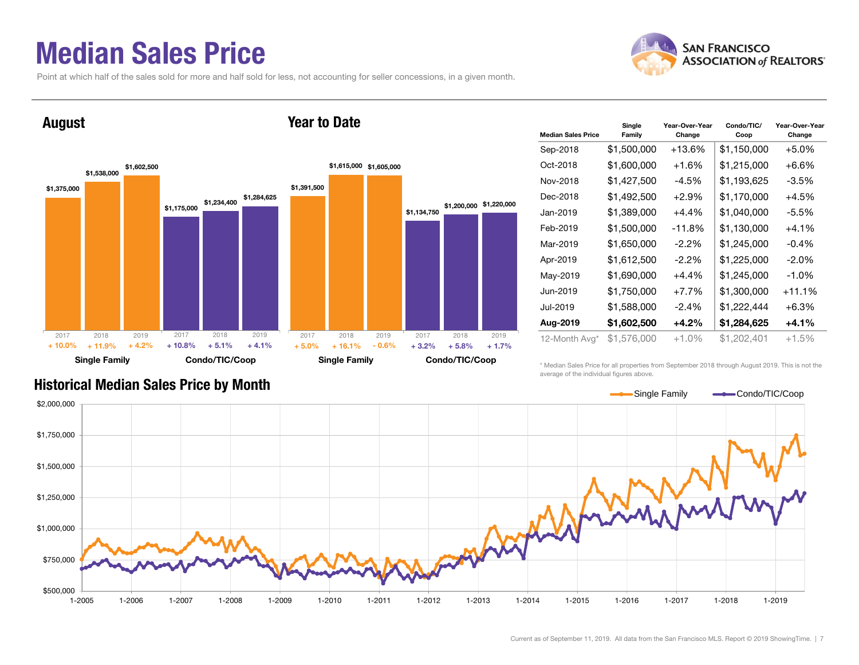#### Median Sales Price

Point at which half of the sales sold for more and half sold for less, not accounting for seller concessions, in a given month.

Year to Date



#### August



| <b>Median Sales Price</b> | Single<br>Family | Year-Over-Year<br>Change | Condo/TIC/<br>Coop | Year-Over-Year<br>Change |
|---------------------------|------------------|--------------------------|--------------------|--------------------------|
| Sep-2018                  | \$1,500,000      | +13.6%                   | \$1,150,000        | $+5.0%$                  |
| Oct-2018                  | \$1,600,000      | $+1.6%$                  | \$1,215,000        | $+6.6%$                  |
| Nov-2018                  | \$1,427,500      | $-4.5%$                  | \$1,193,625        | $-3.5%$                  |
| Dec-2018                  | \$1,492,500      | $+2.9%$                  | \$1,170,000        | $+4.5%$                  |
| Jan-2019                  | \$1,389,000      | $+4.4%$                  | \$1,040,000        | $-5.5%$                  |
| Feb-2019                  | \$1,500,000      | -11.8%                   | \$1,130,000        | $+4.1%$                  |
| Mar-2019                  | \$1,650,000      | $-2.2\%$                 | \$1,245,000        | $-0.4%$                  |
| Apr-2019                  | \$1,612,500      | $-2.2\%$                 | \$1,225,000        | $-2.0%$                  |
| May-2019                  | \$1,690,000      | $+4.4%$                  | \$1,245,000        | $-1.0%$                  |
| Jun-2019                  | \$1,750,000      | $+7.7%$                  | \$1,300,000        | +11.1%                   |
| Jul-2019                  | \$1,588,000      | $-2.4%$                  | \$1,222,444        | $+6.3%$                  |
| Aug-2019                  | \$1,602,500      | $+4.2%$                  | \$1,284,625        | $+4.1%$                  |
| 12-Month Avg*             | \$1,576,000      | +1.0%                    | \$1,202,401        | $+1.5%$                  |

#### Historical Median Sales Price by Month

\* Median Sales Price for all properties from September 2018 through August 2019. This is not the average of the individual figures above.

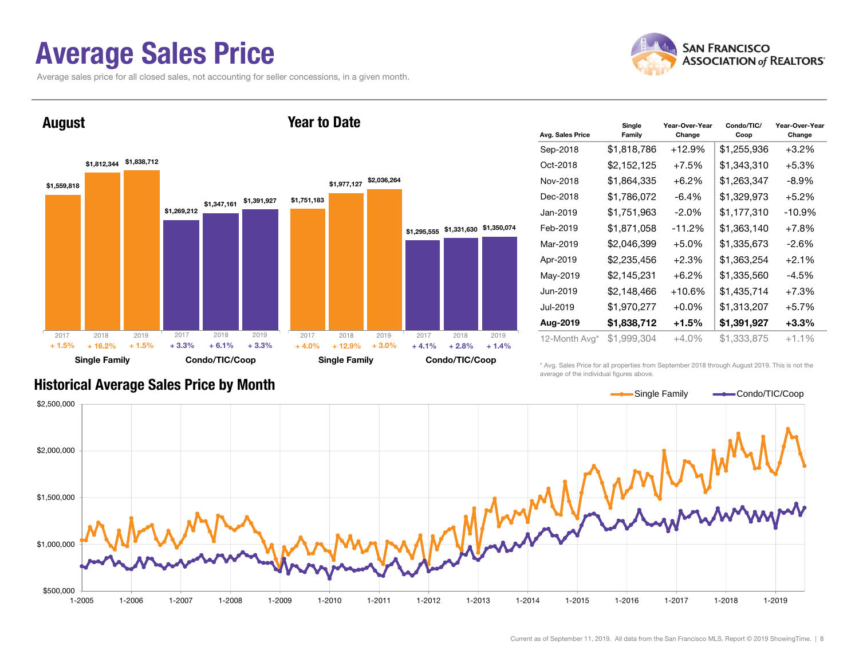#### Average Sales Price

Average sales price for all closed sales, not accounting for seller concessions, in a given month.



August



Year to Date

| Avg. Sales Price | Single<br>Family | Year-Over-Year<br>Change | Condo/TIC/<br>Coop | Year-Over-Year<br>Change |
|------------------|------------------|--------------------------|--------------------|--------------------------|
| Sep-2018         | \$1,818,786      | $+12.9%$                 | \$1,255,936        | $+3.2%$                  |
| Oct-2018         | \$2,152,125      | +7.5%                    | \$1,343,310        | +5.3%                    |
| Nov-2018         | \$1,864,335      | $+6.2%$                  | \$1,263,347        | $-8.9\%$                 |
| Dec-2018         | \$1,786,072      | $-6.4\%$                 | \$1,329,973        | $+5.2%$                  |
| Jan-2019         | \$1,751,963      | $-2.0\%$                 | \$1,177,310        | -10.9%                   |
| Feb-2019         | \$1,871,058      | -11.2%                   | \$1,363,140        | $+7.8%$                  |
| Mar-2019         | \$2,046,399      | $+5.0%$                  | \$1,335,673        | $-2.6%$                  |
| Apr-2019         | \$2,235,456      | $+2.3%$                  | \$1,363,254        | $+2.1%$                  |
| May-2019         | \$2,145,231      | $+6.2\%$                 | \$1,335,560        | $-4.5%$                  |
| Jun-2019         | \$2,148,466      | $+10.6%$                 | \$1,435,714        | $+7.3%$                  |
| Jul-2019         | \$1,970,277      | $+0.0\%$                 | \$1,313,207        | $+5.7%$                  |
| Aug-2019         | \$1,838,712      | $+1.5%$                  | \$1,391,927        | $+3.3%$                  |
| 12-Month Avg*    | \$1,999,304      | +4.0%                    | \$1,333,875        | $+1.1%$                  |

Historical Average Sales Price by Month

\* Avg. Sales Price for all properties from September 2018 through August 2019. This is not the average of the individual figures above.

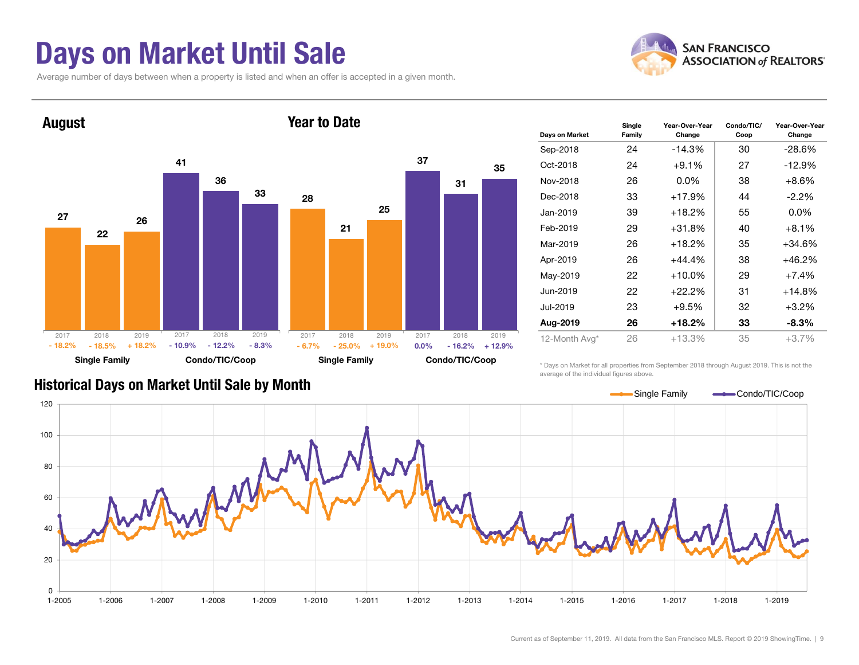### Days on Market Until Sale

Average number of days between when a property is listed and when an offer is accepted in a given month.





| Days on Market | Single<br>Family | Year-Over-Year<br>Change | Condo/TIC/<br>Coop | Year-Over-Year<br>Change |
|----------------|------------------|--------------------------|--------------------|--------------------------|
| Sep-2018       | 24               | $-14.3%$                 | 30                 | $-28.6%$                 |
| Oct-2018       | 24               | $+9.1%$                  | 27                 | $-12.9%$                 |
| Nov-2018       | 26               | $0.0\%$                  | 38                 | $+8.6%$                  |
| Dec-2018       | 33               | +17.9%                   | 44                 | $-2.2\%$                 |
| Jan-2019       | 39               | $+18.2%$                 | 55                 | $0.0\%$                  |
| Feb-2019       | 29               | $+31.8%$                 | 40                 | $+8.1%$                  |
| Mar-2019       | 26               | +18.2%                   | 35                 | +34.6%                   |
| Apr-2019       | 26               | $+44.4%$                 | 38                 | +46.2%                   |
| May-2019       | 22               | $+10.0\%$                | 29                 | $+7.4%$                  |
| Jun-2019       | 22               | $+22.2%$                 | 31                 | +14.8%                   |
| Jul-2019       | 23               | $+9.5%$                  | 32                 | $+3.2%$                  |
| Aug-2019       | 26               | +18.2%                   | 33                 | -8.3%                    |
| 12-Month Avg*  | 26               | $+13.3%$                 | 35                 | $+3.7%$                  |

#### Historical Days on Market Until Sale by Month

\* Days on Market for all properties from September 2018 through August 2019. This is not the average of the individual figures above.

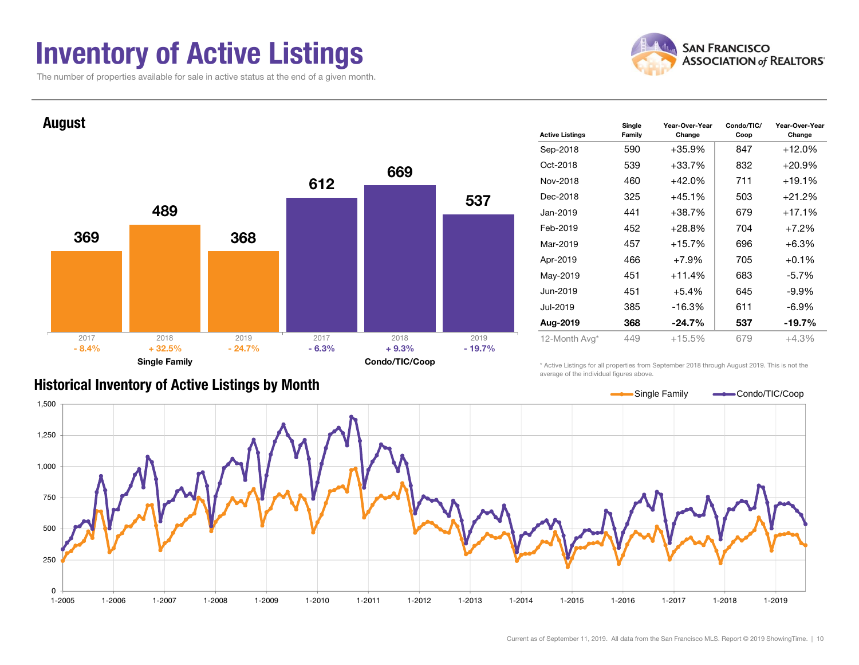### Inventory of Active Listings

The number of properties available for sale in active status at the end of a given month.





|  | <b>Historical Inventory of Active Listings by Month</b> |  |  |  |
|--|---------------------------------------------------------|--|--|--|
|--|---------------------------------------------------------|--|--|--|

| <b>Active Listings</b> | Single<br>Family | Year-Over-Year<br>Change | Condo/TIC/<br>Coop | Year-Over-Year<br>Change |
|------------------------|------------------|--------------------------|--------------------|--------------------------|
| Sep-2018               | 590              | $+35.9%$                 | 847                | $+12.0%$                 |
| Oct-2018               | 539              | $+33.7%$                 | 832                | $+20.9\%$                |
| Nov-2018               | 460              | $+42.0%$                 | 711                | +19.1%                   |
| Dec-2018               | 325              | $+45.1%$                 | 503                | $+21.2%$                 |
| Jan-2019               | 441              | $+38.7%$                 | 679                | +17.1%                   |
| Feb-2019               | 452              | $+28.8%$                 | 704                | $+7.2%$                  |
| Mar-2019               | 457              | $+15.7%$                 | 696                | $+6.3%$                  |
| Apr-2019               | 466              | $+7.9%$                  | 705                | $+0.1%$                  |
| May-2019               | 451              | $+11.4%$                 | 683                | $-5.7\%$                 |
| Jun-2019               | 451              | $+5.4%$                  | 645                | $-9.9\%$                 |
| Jul-2019               | 385              | $-16.3%$                 | 611                | $-6.9\%$                 |
| Aug-2019               | 368              | $-24.7%$                 | 537                | -19.7%                   |
| 12-Month Avg*          | 449              | $+15.5%$                 | 679                | $+4.3%$                  |

\* Active Listings for all properties from September 2018 through August 2019. This is not the average of the individual figures above.

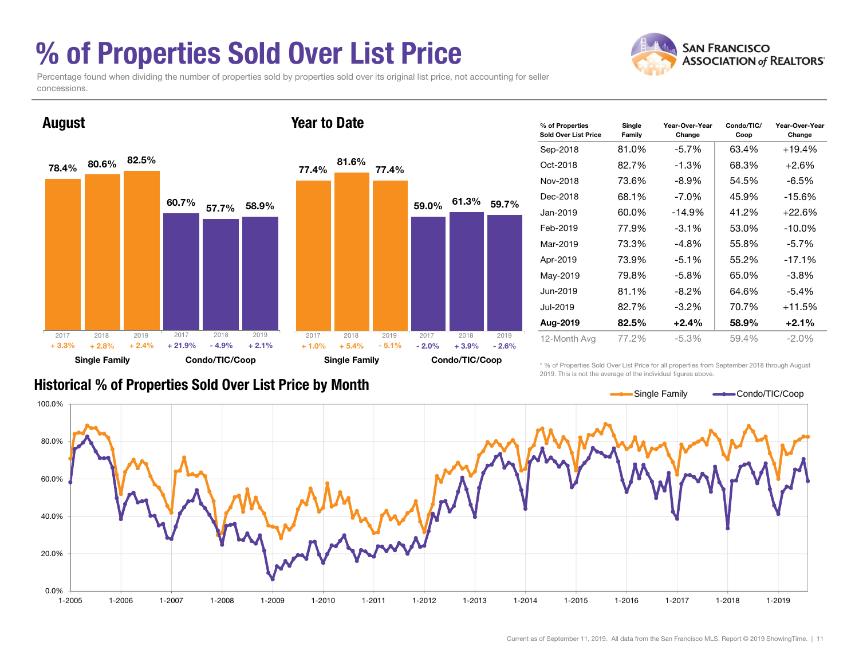### % of Properties Sold Over List Price

Percentage found when dividing the number of properties sold by properties sold over its original list price, not accounting for seller concessions.



| % of Properties<br>Sold Over List Price | Single<br>Family | Year-Over-Year<br>Change | Condo/TIC/<br>Coop | Year-Over-Year<br>Change |
|-----------------------------------------|------------------|--------------------------|--------------------|--------------------------|
| Sep-2018                                | 81.0%            | $-5.7%$                  | 63.4%              | $+19.4%$                 |
| Oct-2018                                | 82.7%            | -1.3%                    | 68.3%              | +2.6%                    |
| Nov-2018                                | 73.6%            | $-8.9\%$                 | 54.5%              | $-6.5%$                  |
| Dec-2018                                | 68.1%            | $-7.0\%$                 | 45.9%              | $-15.6%$                 |
| Jan-2019                                | 60.0%            | $-14.9%$                 | 41.2%              | $+22.6%$                 |
| Feb-2019                                | 77.9%            | $-3.1\%$                 | 53.0%              | $-10.0\%$                |
| Mar-2019                                | 73.3%            | -4.8%                    | 55.8%              | $-5.7%$                  |
| Apr-2019                                | 73.9%            | $-5.1%$                  | 55.2%              | $-17.1%$                 |
| May-2019                                | 79.8%            | $-5.8\%$                 | 65.0%              | $-3.8%$                  |
| Jun-2019                                | 81.1%            | $-8.2\%$                 | 64.6%              | $-5.4%$                  |
| Jul-2019                                | 82.7%            | $-3.2\%$                 | 70.7%              | $+11.5%$                 |
| Aug-2019                                | 82.5%            | $+2.4%$                  | 58.9%              | +2.1%                    |
| 12-Month Avg                            | 77.2%            | $-5.3%$                  | 59.4%              | $-2.0\%$                 |

#### Historical % of Properties Sold Over List Price by Month

\* % of Properties Sold Over List Price for all properties from September 2018 through August 2019. This is not the average of the individual figures above.



**SAN FRANCISCO ASSOCIATION of REALTORS'**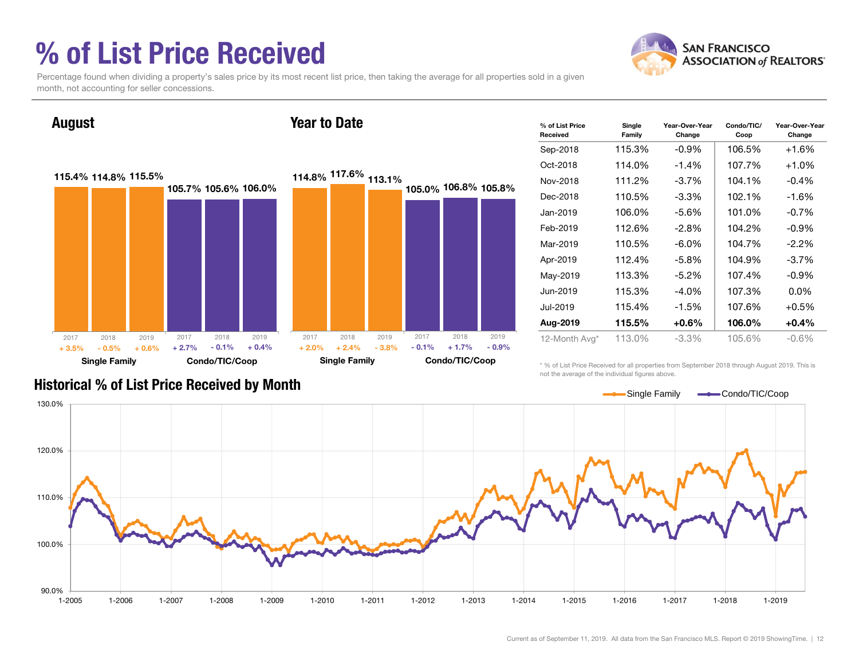### % of List Price Received



Percentage found when dividing a property's sales price by its most recent list price, then taking the average for all properties sold in a given month, not accounting for seller concessions.

August



| % of List Price<br>Received | Single<br>Family | Year-Over-Year<br>Change | Condo/TIC/<br>Coop | Year-Over-Year<br>Change |
|-----------------------------|------------------|--------------------------|--------------------|--------------------------|
| Sep-2018                    | 115.3%           | $-0.9%$                  | 106.5%             | $+1.6%$                  |
| Oct-2018                    | 114.0%           | $-1.4%$                  | 107.7%             | $+1.0%$                  |
| Nov-2018                    | 111.2%           | $-3.7\%$                 | 104.1%             | $-0.4%$                  |
| Dec-2018                    | 110.5%           | $-3.3\%$                 | 102.1%             | -1.6%                    |
| Jan-2019                    | 106.0%           | $-5.6\%$                 | 101.0%             | $-0.7\%$                 |
| Feb-2019                    | 112.6%           | $-2.8\%$                 | 104.2%             | $-0.9\%$                 |
| Mar-2019                    | 110.5%           | $-6.0\%$                 | 104.7%             | $-2.2\%$                 |
| Apr-2019                    | 112.4%           | $-5.8%$                  | 104.9%             | $-3.7%$                  |
| May-2019                    | 113.3%           | $-5.2\%$                 | 107.4%             | $-0.9\%$                 |
| Jun-2019                    | 115.3%           | $-4.0\%$                 | 107.3%             | $0.0\%$                  |
| Jul-2019                    | 115.4%           | $-1.5%$                  | 107.6%             | $+0.5%$                  |
| Aug-2019                    | 115.5%           | $+0.6\%$                 | 106.0%             | $+0.4%$                  |
| 12-Month Avg*               | 113.0%           | $-3.3%$                  | 105.6%             | $-0.6%$                  |

Historical % of List Price Received by Month

\* % of List Price Received for all properties from September 2018 through August 2019. This is not the average of the individual figures above.



#### Year to Date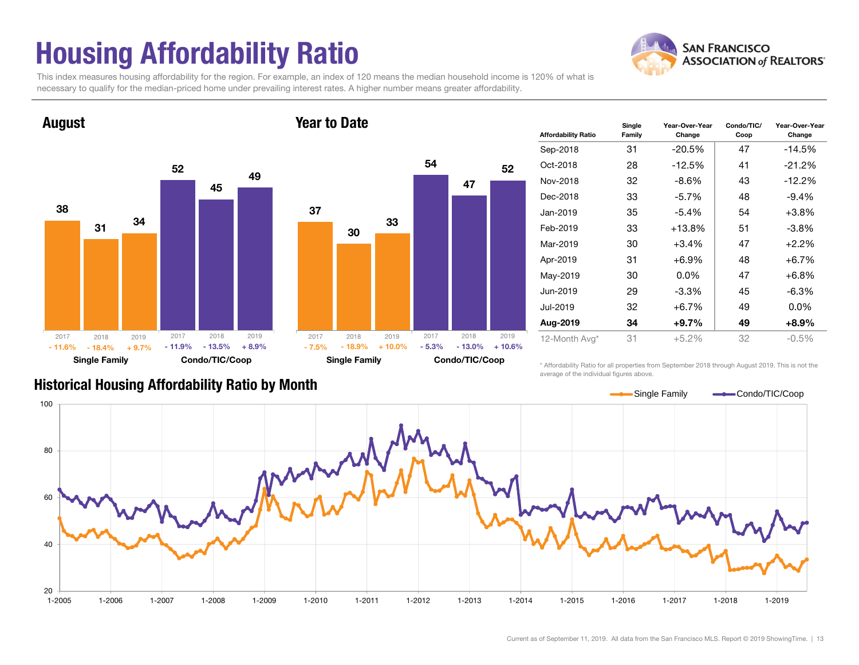## Housing Affordability Ratio

**SAN FRANCISCO ASSOCIATION of REALTORS'** 

This index measures housing affordability for the region. For example, an index of 120 means the median household income is 120% of what is necessary to qualify for the median-priced home under prevailing interest rates. A higher number means greater affordability.

Year to Date



August



| <b>Affordability Ratio</b> | Single<br>Family | Year-Over-Year<br>Change | Condo/TIC/<br>Coop | Year-Over-Year<br>Change |
|----------------------------|------------------|--------------------------|--------------------|--------------------------|
| Sep-2018                   | 31               | -20.5%                   | 47                 | -14.5%                   |
| Oct-2018                   | 28               | -12.5%                   | 41                 | $-21.2%$                 |
| Nov-2018                   | 32               | $-8.6\%$                 | 43                 | $-12.2%$                 |
| Dec-2018                   | 33               | $-5.7\%$                 | 48                 | $-9.4%$                  |
| Jan-2019                   | 35               | $-5.4\%$                 | 54                 | $+3.8\%$                 |
| Feb-2019                   | 33               | $+13.8%$                 | 51                 | $-3.8\%$                 |
| Mar-2019                   | 30               | +3.4%                    | 47                 | $+2.2%$                  |
| Apr-2019                   | 31               | $+6.9\%$                 | 48                 | $+6.7\%$                 |
| May-2019                   | 30               | $0.0\%$                  | 47                 | $+6.8%$                  |
| Jun-2019                   | 29               | $-3.3%$                  | 45                 | $-6.3%$                  |
| Jul-2019                   | 32               | +6.7%                    | 49                 | $0.0\%$                  |
| Aug-2019                   | 34               | +9.7%                    | 49                 | $+8.9\%$                 |
| 12-Month Avg*              | 31               | $+5.2%$                  | 32                 | $-0.5%$                  |

#### Historical Housing Affordability Ratio by Month

\* Affordability Ratio for all properties from September 2018 through August 2019. This is not the average of the individual figures above.

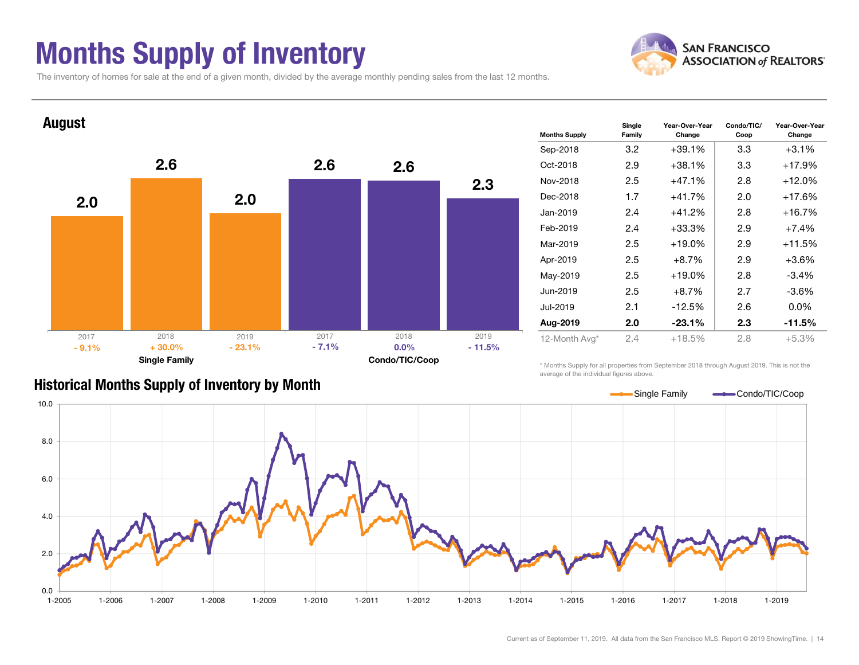### Months Supply of Inventory



The inventory of homes for sale at the end of a given month, divided by the average monthly pending sales from the last 12 months.



#### Historical Months Supply of Inventory by Month

\* Months Supply for all properties from September 2018 through August 2019. This is not the average of the individual figures above.

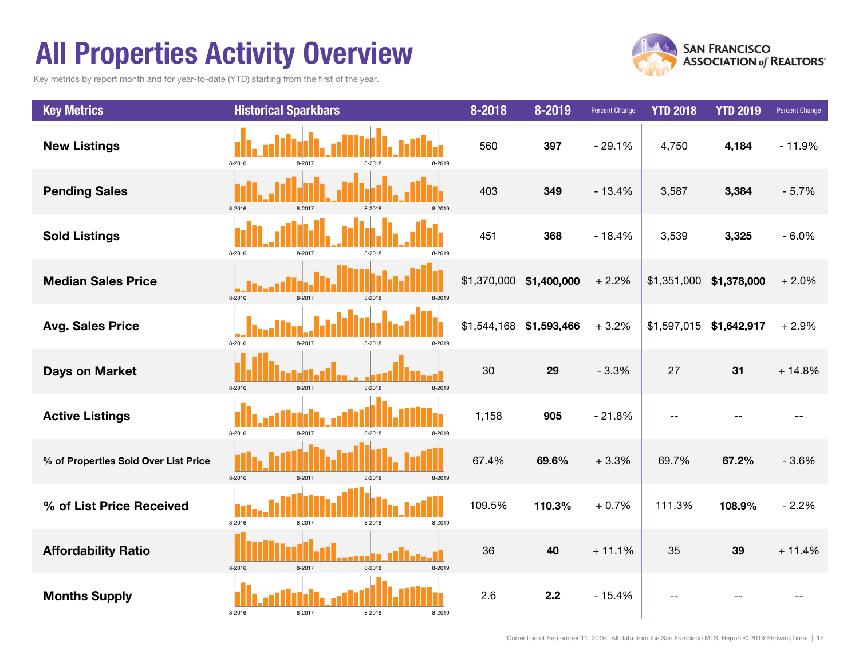### All Properties Activity Overview

Key metrics by report month and for year-to-date (YTD) starting from the first of the year.